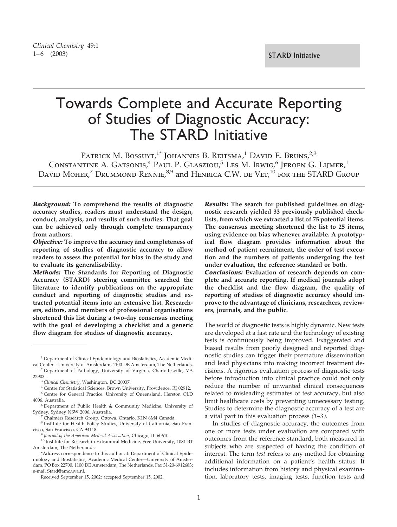# Towards Complete and Accurate Reporting of Studies of Diagnostic Accuracy: The **STARD** Initiative

PATRICK M. BOSSUYT,<sup>1\*</sup> JOHANNES B. REITSMA,<sup>1</sup> DAVID E. BRUNS,<sup>2,3</sup> CONSTANTINE A. GATSONIS,<sup>4</sup> Paul P. Glasziou,<sup>5</sup> Les M. Irwig,<sup>6</sup> Jeroen G. Lijmer,<sup>1</sup> DAVID MOHER,<sup>7</sup> DRUMMOND RENNIE,<sup>8,9</sup> and HENRICA C.W. DE VET,<sup>10</sup> FOR THE STARD GROUP

*Background:* **To comprehend the results of diagnostic accuracy studies, readers must understand the design, conduct, analysis, and results of such studies. That goal can be achieved only through complete transparency from authors.**

*Objective:* **To improve the accuracy and completeness of reporting of studies of diagnostic accuracy to allow readers to assess the potential for bias in the study and to evaluate its generalisability.**

*Methods:* **The** *Sta***ndards for** *R***eporting of** *D***iagnostic Accuracy (STARD) steering committee searched the literature to identify publications on the appropriate conduct and reporting of diagnostic studies and extracted potential items into an extensive list. Researchers, editors, and members of professional organisations shortened this list during a two-day consensus meeting with the goal of developing a checklist and a generic flow diagram for studies of diagnostic accuracy.**

*Results:* **The search for published guidelines on diagnostic research yielded 33 previously published checklists, from which we extracted a list of 75 potential items. The consensus meeting shortened the list to 25 items, using evidence on bias whenever available. A prototypical flow diagram provides information about the method of patient recruitment, the order of test execution and the numbers of patients undergoing the test under evaluation, the reference standard or both.**

*Conclusions:* **Evaluation of research depends on complete and accurate reporting. If medical journals adopt the checklist and the flow diagram, the quality of reporting of studies of diagnostic accuracy should improve to the advantage of clinicians, researchers, reviewers, journals, and the public.**

The world of diagnostic tests is highly dynamic. New tests are developed at a fast rate and the technology of existing tests is continuously being improved. Exaggerated and biased results from poorly designed and reported diagnostic studies can trigger their premature dissemination and lead physicians into making incorrect treatment decisions. A rigorous evaluation process of diagnostic tests before introduction into clinical practice could not only reduce the number of unwanted clinical consequences related to misleading estimates of test accuracy, but also limit healthcare costs by preventing unnecessary testing. Studies to determine the diagnostic accuracy of a test are a vital part in this evaluation process *(1–3)*.

In studies of diagnostic accuracy, the outcomes from one or more tests under evaluation are compared with outcomes from the reference standard, both measured in subjects who are suspected of having the condition of interest. The term *test* refers to any method for obtaining additional information on a patient's health status. It includes information from history and physical examination, laboratory tests, imaging tests, function tests and

<sup>&</sup>lt;sup>1</sup> Department of Clinical Epidemiology and Biostatistics, Academic Medical Center—University of Amsterdam, 1100 DE Amsterdam, The Netherlands. <sup>2</sup> Department of Pathology, University of Virginia, Charlottesville, VA

<sup>22903.</sup>

<sup>3</sup> *Clinical Chemistry*, Washington, DC 20037.

<sup>4</sup> Centre for Statistical Sciences, Brown University, Providence, RI 02912.

<sup>5</sup> Centre for General Practice, University of Queensland, Herston QLD 4006, Australia.

<sup>6</sup> Department of Public Health & Community Medicine, University of Sydney, Sydney NSW 2006, Australia.

<sup>7</sup> Chalmers Research Group, Ottowa, Ontario, K1N 6M4 Canada.

<sup>8</sup> Institute for Health Policy Studies, University of California, San Francisco, San Francisco, CA 94118.

<sup>9</sup> *Journal of the American Medical Association,* Chicago, IL 60610.

 $^{\rm 10}$  Institute for Research in Extramural Medicine, Free University, 1081 BT Amsterdam, The Netherlands.

<sup>\*</sup>Address correspondence to this author at: Department of Clinical Epidemiology and Biostatistics, Academic Medical Center—University of Amsterdam, PO Box 22700, 1100 DE Amsterdam, The Netherlands. Fax 31-20-6912683; e-mail Stard@amc.uva.nl.

Received September 15, 2002; accepted September 15, 2002.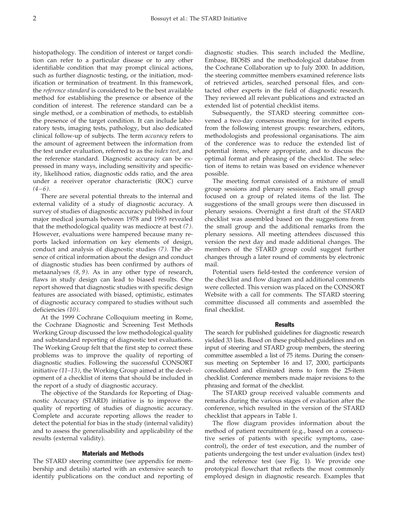histopathology. The condition of interest or target condition can refer to a particular disease or to any other identifiable condition that may prompt clinical actions, such as further diagnostic testing, or the initiation, modification or termination of treatment. In this framework, the *reference standard* is considered to be the best available method for establishing the presence or absence of the condition of interest. The reference standard can be a single method, or a combination of methods, to establish the presence of the target condition. It can include laboratory tests, imaging tests, pathology, but also dedicated clinical follow-up of subjects. The term *accuracy* refers to the amount of agreement between the information from the test under evaluation, referred to as the *index test*, and the reference standard. Diagnostic accuracy can be expressed in many ways, including sensitivity and specificity, likelihood ratios, diagnostic odds ratio, and the area under a receiver operator characteristic (ROC) curve *(4–6)*.

There are several potential threats to the internal and external validity of a study of diagnostic accuracy. A survey of studies of diagnostic accuracy published in four major medical journals between 1978 and 1993 revealed that the methodological quality was mediocre at best *(7)*. However, evaluations were hampered because many reports lacked information on key elements of design, conduct and analysis of diagnostic studies *(7)*. The absence of critical information about the design and conduct of diagnostic studies has been confirmed by authors of metaanalyses *(8*, *9)*. As in any other type of research, flaws in study design can lead to biased results. One report showed that diagnostic studies with specific design features are associated with biased, optimistic, estimates of diagnostic accuracy compared to studies without such deficiencies *(10)*.

At the 1999 Cochrane Colloquium meeting in Rome, the Cochrane Diagnostic and Screening Test Methods Working Group discussed the low methodological quality and substandard reporting of diagnostic test evaluations. The Working Group felt that the first step to correct these problems was to improve the quality of reporting of diagnostic studies. Following the successful CONSORT initiative *(11–13)*, the Working Group aimed at the development of a checklist of items that should be included in the report of a study of diagnostic accuracy.

The objective of the Standards for Reporting of Diagnostic Accuracy (STARD) initiative is to improve the quality of reporting of studies of diagnostic accuracy. Complete and accurate reporting allows the reader to detect the potential for bias in the study (internal validity) and to assess the generalisability and applicability of the results (external validity).

#### Materials and Methods

The STARD steering committee (see appendix for membership and details) started with an extensive search to identify publications on the conduct and reporting of diagnostic studies. This search included the Medline, Embase, BIOSIS and the methodological database from the Cochrane Collaboration up to July 2000. In addition, the steering committee members examined reference lists of retrieved articles, searched personal files, and contacted other experts in the field of diagnostic research. They reviewed all relevant publications and extracted an extended list of potential checklist items.

Subsequently, the STARD steering committee convened a two-day consensus meeting for invited experts from the following interest groups: researchers, editors, methodologists and professional organisations. The aim of the conference was to reduce the extended list of potential items, where appropriate, and to discuss the optimal format and phrasing of the checklist. The selection of items to retain was based on evidence whenever possible.

The meeting format consisted of a mixture of small group sessions and plenary sessions. Each small group focused on a group of related items of the list. The suggestions of the small groups were then discussed in plenary sessions. Overnight a first draft of the STARD checklist was assembled based on the suggestions from the small group and the additional remarks from the plenary sessions. All meeting attendees discussed this version the next day and made additional changes. The members of the STARD group could suggest further changes through a later round of comments by electronic mail.

Potential users field-tested the conference version of the checklist and flow diagram and additional comments were collected. This version was placed on the CONSORT Website with a call for comments. The STARD steering committee discussed all comments and assembled the final checklist.

#### Results

The search for published guidelines for diagnostic research yielded 33 lists. Based on these published guidelines and on input of steering and STARD group members, the steering committee assembled a list of 75 items. During the consensus meeting on September 16 and 17, 2000, participants consolidated and eliminated items to form the 25-item checklist. Conference members made major revisions to the phrasing and format of the checklist.

The STARD group received valuable comments and remarks during the various stages of evaluation after the conference, which resulted in the version of the STARD checklist that appears in Table 1.

The flow diagram provides information about the method of patient recruitment (e.g., based on a consecutive series of patients with specific symptoms, casecontrol), the order of test execution, and the number of patients undergoing the test under evaluation (index test) and the reference test (see Fig. 1). We provide one prototypical flowchart that reflects the most commonly employed design in diagnostic research. Examples that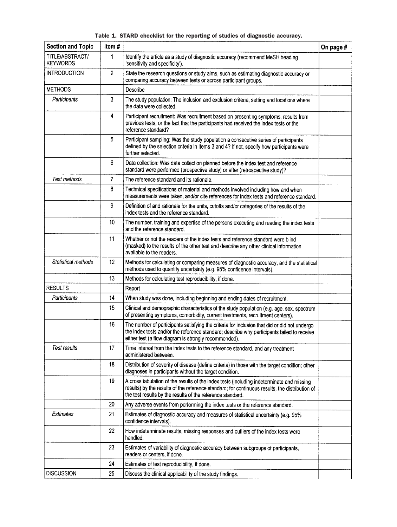| <b>Section and Topic</b>           | Item#          |                                                                                                                                                                                                                                                           | On page # |
|------------------------------------|----------------|-----------------------------------------------------------------------------------------------------------------------------------------------------------------------------------------------------------------------------------------------------------|-----------|
| TITLE/ABSTRACT/<br><b>KEYWORDS</b> | 1              | Identify the article as a study of diagnostic accuracy (recommend MeSH heading<br>'sensitivity and specificity').                                                                                                                                         |           |
| <b>INTRODUCTION</b>                | 2              | State the research questions or study aims, such as estimating diagnostic accuracy or<br>comparing accuracy between tests or across participant groups.                                                                                                   |           |
| <b>METHODS</b>                     |                | Describe                                                                                                                                                                                                                                                  |           |
| Participants                       | 3              | The study population: The inclusion and exclusion criteria, setting and locations where<br>the data were collected.                                                                                                                                       |           |
|                                    | 4              | Participant recruitment: Was recruitment based on presenting symptoms, results from<br>previous tests, or the fact that the participants had received the index tests or the<br>reference standard?                                                       |           |
|                                    | 5              | Participant sampling: Was the study population a consecutive series of participants<br>defined by the selection criteria in items 3 and 4? If not, specify how participants were<br>further selected.                                                     |           |
|                                    | 6              | Data collection: Was data collection planned before the index test and reference<br>standard were performed (prospective study) or after (retrospective study)?                                                                                           |           |
| <b>Test methods</b>                | $\overline{7}$ | The reference standard and its rationale.                                                                                                                                                                                                                 |           |
|                                    | 8              | Technical specifications of material and methods involved including how and when<br>measurements were taken, and/or cite references for index tests and reference standard.                                                                               |           |
|                                    | 9              | Definition of and rationale for the units, cutoffs and/or categories of the results of the<br>index tests and the reference standard.                                                                                                                     |           |
|                                    | 10             | The number, training and expertise of the persons executing and reading the index tests<br>and the reference standard.                                                                                                                                    |           |
|                                    | 11             | Whether or not the readers of the index tests and reference standard were blind<br>(masked) to the results of the other test and describe any other clinical information<br>available to the readers.                                                     |           |
| Statistical methods                | 12             | Methods for calculating or comparing measures of diagnostic accuracy, and the statistical<br>methods used to quantify uncertainty (e.g. 95% confidence intervals).                                                                                        |           |
|                                    | 13             | Methods for calculating test reproducibility, if done.                                                                                                                                                                                                    |           |
| <b>RESULTS</b>                     |                | Report                                                                                                                                                                                                                                                    |           |
| Participants                       | 14             | When study was done, including beginning and ending dates of recruitment.                                                                                                                                                                                 |           |
|                                    | 15             | Clinical and demographic characteristics of the study population (e.g. age, sex, spectrum<br>of presenting symptoms, comorbidity, current treatments, recruitment centers).                                                                               |           |
|                                    | 16             | The number of participants satisfying the criteria for inclusion that did or did not undergo<br>the index tests and/or the reference standard; describe why participants failed to receive<br>either test (a flow diagram is strongly recommended).       |           |
| Test results                       | 17             | Time interval from the index tests to the reference standard, and any treatment<br>administered between.                                                                                                                                                  |           |
|                                    | 18             | Distribution of severity of disease (define criteria) in those with the target condition; other<br>diagnoses in participants without the target condition.                                                                                                |           |
|                                    | 19             | A cross tabulation of the results of the index tests (including indeterminate and missing<br>results) by the results of the reference standard; for continuous results, the distribution of<br>the test results by the results of the reference standard. |           |
|                                    | 20             | Any adverse events from performing the index tests or the reference standard.                                                                                                                                                                             |           |
| Estimates                          | 21             | Estimates of diagnostic accuracy and measures of statistical uncertainty (e.g. 95%<br>confidence intervals).                                                                                                                                              |           |
|                                    | 22             | How indeterminate results, missing responses and outliers of the index tests were<br>handled.                                                                                                                                                             |           |
|                                    | 23             | Estimates of variability of diagnostic accuracy between subgroups of participants,<br>readers or centers, if done.                                                                                                                                        |           |
|                                    | 24             | Estimates of test reproducibility, if done.                                                                                                                                                                                                               |           |
| <b>DISCUSSION</b>                  | 25             | Discuss the clinical applicability of the study findings.                                                                                                                                                                                                 |           |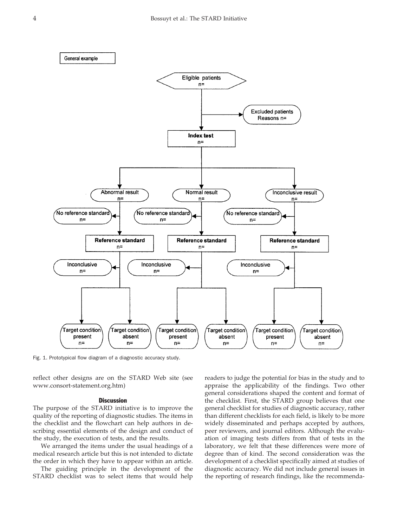

Fig. 1. Prototypical flow diagram of a diagnostic accuracy study.

reflect other designs are on the STARD Web site (see www.consort-statement.org.htm)

#### **Discussion**

The purpose of the STARD initiative is to improve the quality of the reporting of diagnostic studies. The items in the checklist and the flowchart can help authors in describing essential elements of the design and conduct of the study, the execution of tests, and the results.

We arranged the items under the usual headings of a medical research article but this is not intended to dictate the order in which they have to appear within an article.

The guiding principle in the development of the STARD checklist was to select items that would help readers to judge the potential for bias in the study and to appraise the applicability of the findings. Two other general considerations shaped the content and format of the checklist. First, the STARD group believes that one general checklist for studies of diagnostic accuracy, rather than different checklists for each field, is likely to be more widely disseminated and perhaps accepted by authors, peer reviewers, and journal editors. Although the evaluation of imaging tests differs from that of tests in the laboratory, we felt that these differences were more of degree than of kind. The second consideration was the development of a checklist specifically aimed at studies of diagnostic accuracy. We did not include general issues in the reporting of research findings, like the recommenda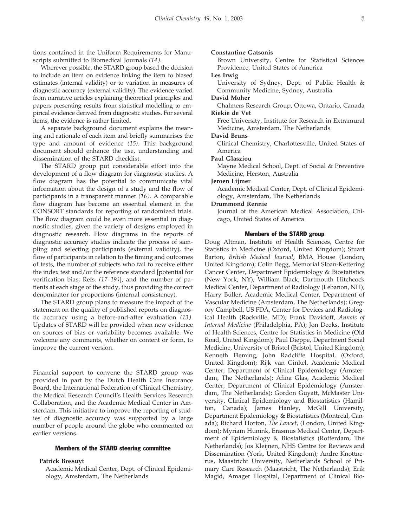tions contained in the Uniform Requirements for Manuscripts submitted to Biomedical Journals *(14)*.

Wherever possible, the STARD group based the decision to include an item on evidence linking the item to biased estimates (internal validity) or to variation in measures of diagnostic accuracy (external validity). The evidence varied from narrative articles explaining theoretical principles and papers presenting results from statistical modelling to empirical evidence derived from diagnostic studies. For several items, the evidence is rather limited.

A separate background document explains the meaning and rationale of each item and briefly summarises the type and amount of evidence *(15)*. This background document should enhance the use, understanding and dissemination of the STARD checklist.

The STARD group put considerable effort into the development of a flow diagram for diagnostic studies. A flow diagram has the potential to communicate vital information about the design of a study and the flow of participants in a transparent manner *(16)*. A comparable flow diagram has become an essential element in the CONSORT standards for reporting of randomized trials. The flow diagram could be even more essential in diagnostic studies, given the variety of designs employed in diagnostic research. Flow diagrams in the reports of diagnostic accuracy studies indicate the process of sampling and selecting participants (external validity), the flow of participants in relation to the timing and outcomes of tests, the number of subjects who fail to receive either the index test and/or the reference standard [potential for verification bias; Refs. *(17–19)*], and the number of patients at each stage of the study, thus providing the correct denominator for proportions (internal consistency).

The STARD group plans to measure the impact of the statement on the quality of published reports on diagnostic accuracy using a before-and-after evaluation *(13)*. Updates of STARD will be provided when new evidence on sources of bias or variability becomes available. We welcome any comments, whether on content or form, to improve the current version.

Financial support to convene the STARD group was provided in part by the Dutch Health Care Insurance Board, the International Federation of Clinical Chemistry, the Medical Research Council's Health Services Research Collaboration, and the Academic Medical Center in Amsterdam. This initiative to improve the reporting of studies of diagnostic accuracy was supported by a large number of people around the globe who commented on earlier versions.

## Members of the STARD steering committee

# **Patrick Bossuyt**

Academic Medical Center, Dept. of Clinical Epidemiology, Amsterdam, The Netherlands

# **Constantine Gatsonis**

Brown University, Centre for Statistical Sciences Providence, United States of America

#### **Les Irwig**

University of Sydney, Dept. of Public Health & Community Medicine, Sydney, Australia

# **David Moher**

Chalmers Research Group, Ottowa, Ontario, Canada **Riekie de Vet**

Free University, Institute for Research in Extramural Medicine, Amsterdam, The Netherlands

# **David Bruns**

Clinical Chemistry, Charlottesville, United States of America

# **Paul Glasziou**

Mayne Medical School, Dept. of Social & Preventive Medicine, Herston, Australia

**Jeroen Lijmer**

Academic Medical Center, Dept. of Clinical Epidemiology, Amsterdam, The Netherlands

# **Drummond Rennie**

Journal of the American Medical Association, Chicago, United States of America

# Members of the STARD group

Doug Altman, Institute of Health Sciences, Centre for Statistics in Medicine (Oxford, United Kingdom); Stuart Barton, *British Medical Journal*, BMA House (London, United Kingdom); Colin Begg, Memorial Sloan-Kettering Cancer Center, Department Epidemiology & Biostatistics (New York, NY); William Black, Dartmouth Hitchcock Medical Center, Department of Radiology (Lebanon, NH); Harry Büller, Academic Medical Center, Department of Vascular Medicine (Amsterdam, The Netherlands); Gregory Campbell, US FDA, Center for Devices and Radiological Health (Rockville, MD); Frank Davidoff, *Annals of Internal Medicine* (Philadelphia, PA); Jon Deeks, Institute of Health Sciences, Centre for Statistics in Medicine (Old Road, United Kingdom); Paul Dieppe, Department Social Medicine, University of Bristol (Bristol, United Kingdom); Kenneth Fleming, John Radcliffe Hospital, (Oxford, United Kingdom); Rijk van Ginkel, Academic Medical Center, Department of Clinical Epidemiology (Amsterdam, The Netherlands); Afina Glas, Academic Medical Center, Department of Clinical Epidemiology (Amsterdam, The Netherlands); Gordon Guyatt, McMaster University, Clinical Epidemiology and Biostatistics (Hamilton, Canada); James Hanley, McGill University, Department Epidemiology & Biostatistics (Montreal, Canada); Richard Horton, *The Lancet*, (London, United Kingdom); Myriam Hunink, Erasmus Medical Center, Department of Epidemiology & Biostatistics (Rotterdam, The Netherlands); Jos Kleijnen, NHS Centre for Reviews and Dissemination (York, United Kingdom); Andre Knottnerus, Maastricht University, Netherlands School of Primary Care Research (Maastricht, The Netherlands); Erik Magid, Amager Hospital, Department of Clinical Bio